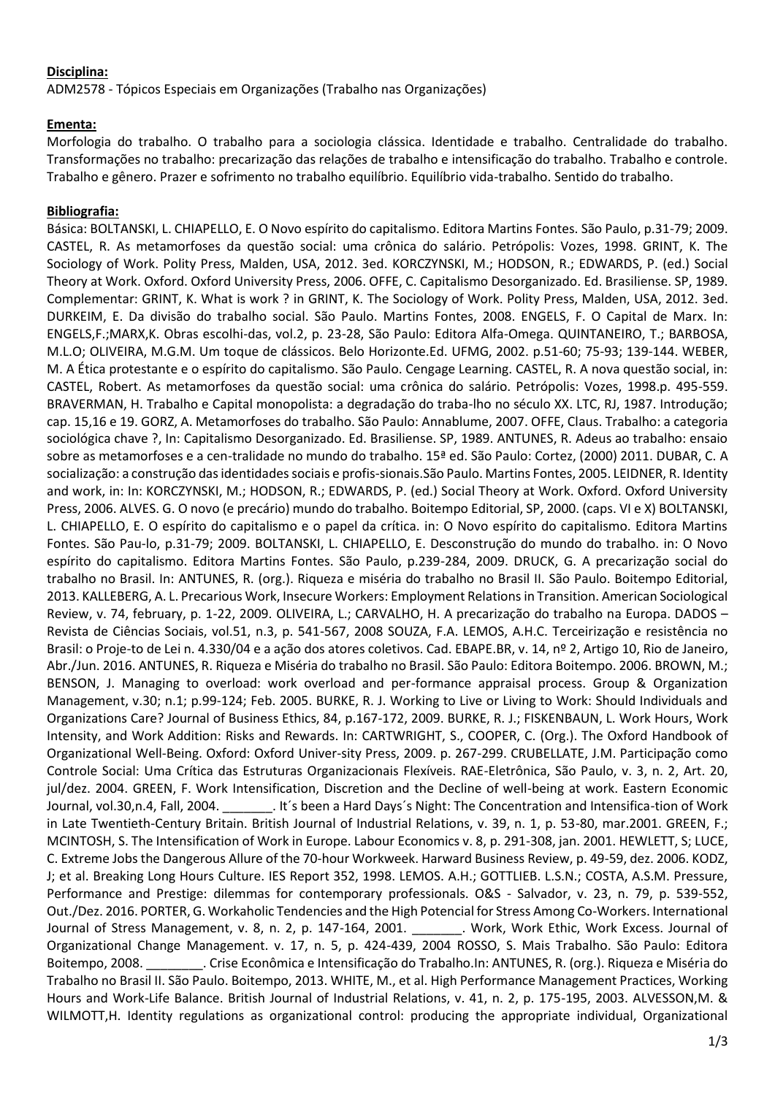## **Disciplina:**

ADM2578 - Tópicos Especiais em Organizações (Trabalho nas Organizações)

## **Ementa:**

Morfologia do trabalho. O trabalho para a sociologia clássica. Identidade e trabalho. Centralidade do trabalho. Transformações no trabalho: precarização das relações de trabalho e intensificação do trabalho. Trabalho e controle. Trabalho e gênero. Prazer e sofrimento no trabalho equilíbrio. Equilíbrio vida-trabalho. Sentido do trabalho.

## **Bibliografia:**

Básica: BOLTANSKI, L. CHIAPELLO, E. O Novo espírito do capitalismo. Editora Martins Fontes. São Paulo, p.31-79; 2009. CASTEL, R. As metamorfoses da questão social: uma crônica do salário. Petrópolis: Vozes, 1998. GRINT, K. The Sociology of Work. Polity Press, Malden, USA, 2012. 3ed. KORCZYNSKI, M.; HODSON, R.; EDWARDS, P. (ed.) Social Theory at Work. Oxford. Oxford University Press, 2006. OFFE, C. Capitalismo Desorganizado. Ed. Brasiliense. SP, 1989. Complementar: GRINT, K. What is work ? in GRINT, K. The Sociology of Work. Polity Press, Malden, USA, 2012. 3ed. DURKEIM, E. Da divisão do trabalho social. São Paulo. Martins Fontes, 2008. ENGELS, F. O Capital de Marx. In: ENGELS,F.;MARX,K. Obras escolhi-das, vol.2, p. 23-28, São Paulo: Editora Alfa-Omega. QUINTANEIRO, T.; BARBOSA, M.L.O; OLIVEIRA, M.G.M. Um toque de clássicos. Belo Horizonte.Ed. UFMG, 2002. p.51-60; 75-93; 139-144. WEBER, M. A Ética protestante e o espírito do capitalismo. São Paulo. Cengage Learning. CASTEL, R. A nova questão social, in: CASTEL, Robert. As metamorfoses da questão social: uma crônica do salário. Petrópolis: Vozes, 1998.p. 495-559. BRAVERMAN, H. Trabalho e Capital monopolista: a degradação do traba-lho no século XX. LTC, RJ, 1987. Introdução; cap. 15,16 e 19. GORZ, A. Metamorfoses do trabalho. São Paulo: Annablume, 2007. OFFE, Claus. Trabalho: a categoria sociológica chave ?, In: Capitalismo Desorganizado. Ed. Brasiliense. SP, 1989. ANTUNES, R. Adeus ao trabalho: ensaio sobre as metamorfoses e a cen-tralidade no mundo do trabalho. 15ª ed. São Paulo: Cortez, (2000) 2011. DUBAR, C. A socialização: a construção das identidades sociais e profis-sionais.São Paulo. Martins Fontes, 2005. LEIDNER, R. Identity and work, in: In: KORCZYNSKI, M.; HODSON, R.; EDWARDS, P. (ed.) Social Theory at Work. Oxford. Oxford University Press, 2006. ALVES. G. O novo (e precário) mundo do trabalho. Boitempo Editorial, SP, 2000. (caps. VI e X) BOLTANSKI, L. CHIAPELLO, E. O espírito do capitalismo e o papel da crítica. in: O Novo espírito do capitalismo. Editora Martins Fontes. São Pau-lo, p.31-79; 2009. BOLTANSKI, L. CHIAPELLO, E. Desconstrução do mundo do trabalho. in: O Novo espírito do capitalismo. Editora Martins Fontes. São Paulo, p.239-284, 2009. DRUCK, G. A precarização social do trabalho no Brasil. In: ANTUNES, R. (org.). Riqueza e miséria do trabalho no Brasil II. São Paulo. Boitempo Editorial, 2013. KALLEBERG, A. L. Precarious Work, Insecure Workers: Employment Relations in Transition. American Sociological Review, v. 74, february, p. 1-22, 2009. OLIVEIRA, L.; CARVALHO, H. A precarização do trabalho na Europa. DADOS – Revista de Ciências Sociais, vol.51, n.3, p. 541-567, 2008 SOUZA, F.A. LEMOS, A.H.C. Terceirização e resistência no Brasil: o Proje-to de Lei n. 4.330/04 e a ação dos atores coletivos. Cad. EBAPE.BR, v. 14, nº 2, Artigo 10, Rio de Janeiro, Abr./Jun. 2016. ANTUNES, R. Riqueza e Miséria do trabalho no Brasil. São Paulo: Editora Boitempo. 2006. BROWN, M.; BENSON, J. Managing to overload: work overload and per-formance appraisal process. Group & Organization Management, v.30; n.1; p.99-124; Feb. 2005. BURKE, R. J. Working to Live or Living to Work: Should Individuals and Organizations Care? Journal of Business Ethics, 84, p.167-172, 2009. BURKE, R. J.; FISKENBAUN, L. Work Hours, Work Intensity, and Work Addition: Risks and Rewards. In: CARTWRIGHT, S., COOPER, C. (Org.). The Oxford Handbook of Organizational Well-Being. Oxford: Oxford Univer-sity Press, 2009. p. 267-299. CRUBELLATE, J.M. Participação como Controle Social: Uma Crítica das Estruturas Organizacionais Flexíveis. RAE-Eletrônica, São Paulo, v. 3, n. 2, Art. 20, jul/dez. 2004. GREEN, F. Work Intensification, Discretion and the Decline of well-being at work. Eastern Economic Journal, vol.30,n.4, Fall, 2004. \_\_\_\_\_\_\_. It´s been a Hard Days´s Night: The Concentration and Intensifica-tion of Work in Late Twentieth-Century Britain. British Journal of Industrial Relations, v. 39, n. 1, p. 53-80, mar.2001. GREEN, F.; MCINTOSH, S. The Intensification of Work in Europe. Labour Economics v. 8, p. 291-308, jan. 2001. HEWLETT, S; LUCE, C. Extreme Jobs the Dangerous Allure of the 70-hour Workweek. Harward Business Review, p. 49-59, dez. 2006. KODZ, J; et al. Breaking Long Hours Culture. IES Report 352, 1998. LEMOS. A.H.; GOTTLIEB. L.S.N.; COSTA, A.S.M. Pressure, Performance and Prestige: dilemmas for contemporary professionals. O&S - Salvador, v. 23, n. 79, p. 539-552, Out./Dez. 2016. PORTER, G. Workaholic Tendencies and the High Potencial for Stress Among Co-Workers. International Journal of Stress Management, v. 8, n. 2, p. 147-164, 2001. \_\_\_\_\_\_\_. Work, Work Ethic, Work Excess. Journal of Organizational Change Management. v. 17, n. 5, p. 424-439, 2004 ROSSO, S. Mais Trabalho. São Paulo: Editora Boitempo, 2008. \_\_\_\_\_\_\_\_. Crise Econômica e Intensificação do Trabalho.In: ANTUNES, R. (org.). Riqueza e Miséria do Trabalho no Brasil II. São Paulo. Boitempo, 2013. WHITE, M., et al. High Performance Management Practices, Working Hours and Work-Life Balance. British Journal of Industrial Relations, v. 41, n. 2, p. 175-195, 2003. ALVESSON,M. & WILMOTT,H. Identity regulations as organizational control: producing the appropriate individual, Organizational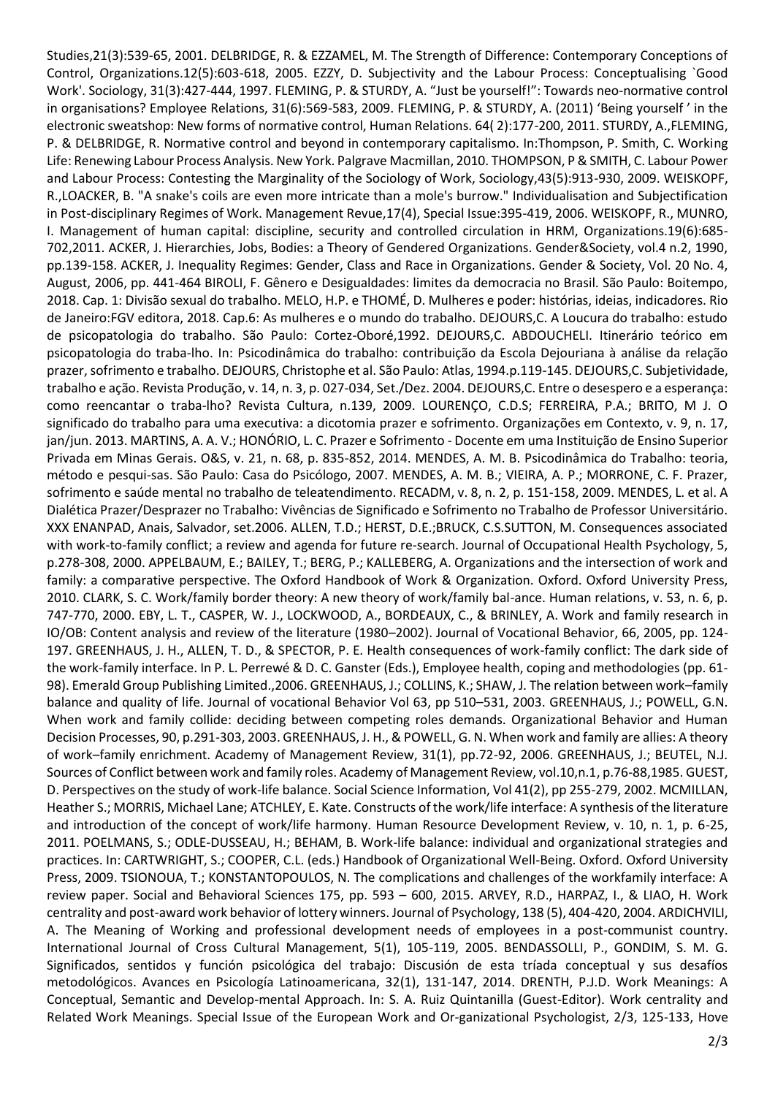Studies,21(3):539-65, 2001. DELBRIDGE, R. & EZZAMEL, M. The Strength of Difference: Contemporary Conceptions of Control, Organizations.12(5):603-618, 2005. EZZY, D. Subjectivity and the Labour Process: Conceptualising `Good Work'. Sociology, 31(3):427-444, 1997. FLEMING, P. & STURDY, A. "Just be yourself!": Towards neo‐normative control in organisations? Employee Relations, 31(6):569-583, 2009. FLEMING, P. & STURDY, A. (2011) 'Being yourself ' in the electronic sweatshop: New forms of normative control, Human Relations. 64( 2):177-200, 2011. STURDY, A.,FLEMING, P. & DELBRIDGE, R. Normative control and beyond in contemporary capitalismo. In:Thompson, P. Smith, C. Working Life: Renewing Labour Process Analysis. New York. Palgrave Macmillan, 2010. THOMPSON, P & SMITH, C. Labour Power and Labour Process: Contesting the Marginality of the Sociology of Work, Sociology,43(5):913-930, 2009. WEISKOPF, R.,LOACKER, B. "A snake's coils are even more intricate than a mole's burrow." Individualisation and Subjectification in Post-disciplinary Regimes of Work. Management Revue,17(4), Special Issue:395-419, 2006. WEISKOPF, R., MUNRO, I. Management of human capital: discipline, security and controlled circulation in HRM, Organizations.19(6):685- 702,2011. ACKER, J. Hierarchies, Jobs, Bodies: a Theory of Gendered Organizations. Gender&Society, vol.4 n.2, 1990, pp.139-158. ACKER, J. Inequality Regimes: Gender, Class and Race in Organizations. Gender & Society, Vol. 20 No. 4, August, 2006, pp. 441-464 BIROLI, F. Gênero e Desigualdades: limites da democracia no Brasil. São Paulo: Boitempo, 2018. Cap. 1: Divisão sexual do trabalho. MELO, H.P. e THOMÉ, D. Mulheres e poder: histórias, ideias, indicadores. Rio de Janeiro:FGV editora, 2018. Cap.6: As mulheres e o mundo do trabalho. DEJOURS,C. A Loucura do trabalho: estudo de psicopatologia do trabalho. São Paulo: Cortez-Oboré,1992. DEJOURS,C. ABDOUCHELI. Itinerário teórico em psicopatologia do traba-lho. In: Psicodinâmica do trabalho: contribuição da Escola Dejouriana à análise da relação prazer, sofrimento e trabalho. DEJOURS, Christophe et al. São Paulo: Atlas, 1994.p.119-145. DEJOURS,C. Subjetividade, trabalho e ação. Revista Produção, v. 14, n. 3, p. 027-034, Set./Dez. 2004. DEJOURS,C. Entre o desespero e a esperança: como reencantar o traba-lho? Revista Cultura, n.139, 2009. LOURENÇO, C.D.S; FERREIRA, P.A.; BRITO, M J. O significado do trabalho para uma executiva: a dicotomia prazer e sofrimento. Organizações em Contexto, v. 9, n. 17, jan/jun. 2013. MARTINS, A. A. V.; HONÓRIO, L. C. Prazer e Sofrimento - Docente em uma Instituição de Ensino Superior Privada em Minas Gerais. O&S, v. 21, n. 68, p. 835-852, 2014. MENDES, A. M. B. Psicodinâmica do Trabalho: teoria, método e pesqui-sas. São Paulo: Casa do Psicólogo, 2007. MENDES, A. M. B.; VIEIRA, A. P.; MORRONE, C. F. Prazer, sofrimento e saúde mental no trabalho de teleatendimento. RECADM, v. 8, n. 2, p. 151-158, 2009. MENDES, L. et al. A Dialética Prazer/Desprazer no Trabalho: Vivências de Significado e Sofrimento no Trabalho de Professor Universitário. XXX ENANPAD, Anais, Salvador, set.2006. ALLEN, T.D.; HERST, D.E.;BRUCK, C.S.SUTTON, M. Consequences associated with work-to-family conflict; a review and agenda for future re-search. Journal of Occupational Health Psychology, 5, p.278-308, 2000. APPELBAUM, E.; BAILEY, T.; BERG, P.; KALLEBERG, A. Organizations and the intersection of work and family: a comparative perspective. The Oxford Handbook of Work & Organization. Oxford. Oxford University Press, 2010. CLARK, S. C. Work/family border theory: A new theory of work/family bal-ance. Human relations, v. 53, n. 6, p. 747-770, 2000. EBY, L. T., CASPER, W. J., LOCKWOOD, A., BORDEAUX, C., & BRINLEY, A. Work and family research in IO/OB: Content analysis and review of the literature (1980–2002). Journal of Vocational Behavior, 66, 2005, pp. 124- 197. GREENHAUS, J. H., ALLEN, T. D., & SPECTOR, P. E. Health consequences of work-family conflict: The dark side of the work-family interface. In P. L. Perrewé & D. C. Ganster (Eds.), Employee health, coping and methodologies (pp. 61- 98). Emerald Group Publishing Limited.,2006. GREENHAUS, J.; COLLINS, K.; SHAW, J. The relation between work–family balance and quality of life. Journal of vocational Behavior Vol 63, pp 510–531, 2003. GREENHAUS, J.; POWELL, G.N. When work and family collide: deciding between competing roles demands. Organizational Behavior and Human Decision Processes, 90, p.291-303, 2003. GREENHAUS, J. H., & POWELL, G. N. When work and family are allies: A theory of work–family enrichment. Academy of Management Review, 31(1), pp.72-92, 2006. GREENHAUS, J.; BEUTEL, N.J. Sources of Conflict between work and family roles. Academy of Management Review, vol.10,n.1, p.76-88,1985. GUEST, D. Perspectives on the study of work-life balance. Social Science Information, Vol 41(2), pp 255-279, 2002. MCMILLAN, Heather S.; MORRIS, Michael Lane; ATCHLEY, E. Kate. Constructs of the work/life interface: A synthesis of the literature and introduction of the concept of work/life harmony. Human Resource Development Review, v. 10, n. 1, p. 6-25, 2011. POELMANS, S.; ODLE-DUSSEAU, H.; BEHAM, B. Work-life balance: individual and organizational strategies and practices. In: CARTWRIGHT, S.; COOPER, C.L. (eds.) Handbook of Organizational Well-Being. Oxford. Oxford University Press, 2009. TSIONOUA, T.; KONSTANTOPOULOS, N. The complications and challenges of the workfamily interface: A review paper. Social and Behavioral Sciences 175, pp. 593 – 600, 2015. ARVEY, R.D., HARPAZ, I., & LIAO, H. Work centrality and post-award work behavior of lottery winners. Journal of Psychology, 138 (5), 404-420, 2004. ARDICHVILI, A. The Meaning of Working and professional development needs of employees in a post-communist country. International Journal of Cross Cultural Management, 5(1), 105-119, 2005. BENDASSOLLI, P., GONDIM, S. M. G. Significados, sentidos y función psicológica del trabajo: Discusión de esta tríada conceptual y sus desafíos metodológicos. Avances en Psicología Latinoamericana, 32(1), 131-147, 2014. DRENTH, P.J.D. Work Meanings: A Conceptual, Semantic and Develop-mental Approach. In: S. A. Ruiz Quintanilla (Guest-Editor). Work centrality and Related Work Meanings. Special Issue of the European Work and Or-ganizational Psychologist, 2/3, 125-133, Hove